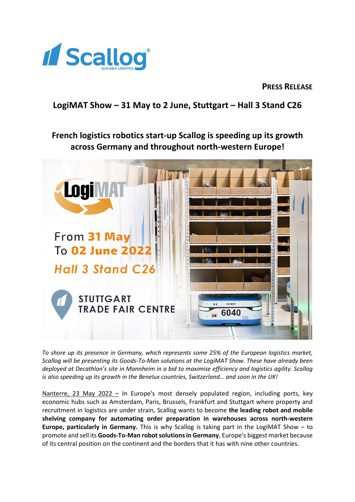

**PRESS RELEASE** 

## **LogiMAT Show – 31 May to 2 June, Stuttgart – Hall 3 Stand C26**

# **French logistics robotics start-up Scallog is speeding up its growth across Germany and throughout north-western Europe!**



*To shore up its presence in Germany, which represents some 25% of the European logistics market, Scallog will be presenting its Goods-To-Man solutions at the LogiMAT Show. These have already been deployed at Decathlon's site in Mannheim in a bid to maximise efficiency and logistics agility. Scallog is also speeding up its growth in the Benelux countries, Switzerland… and soon in the UK!*

Nanterre, 23 May 2022 - In Europe's most densely populated region, including ports, key economic hubs such as Amsterdam, Paris, Brussels, Frankfurt and Stuttgart where property and recruitment in logistics are under strain, Scallog wants to become **the leading robot and mobile shelving company for automating order preparation in warehouses across north-western Europe, particularly in Germany.** This is why Scallog is taking part in the LogiMAT Show – to promote and sell its **Goods-To-Man robot solutions in Germany**, Europe's biggest market because of its central position on the continent and the borders that it has with nine other countries.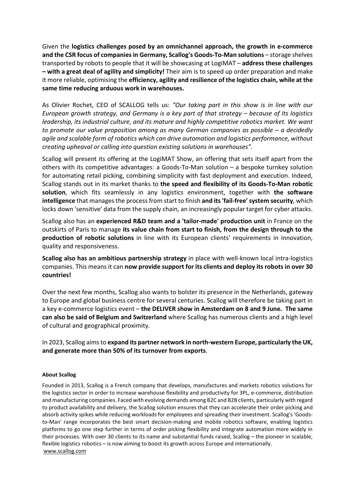Given the **logistics challenges posed by an omnichannel approach, the growth in e-commerce**  and the CSR focus of companies in Germany, Scallog's Goods-To-Man solutions – storage shelves transported by robots to people that it will be showcasing at LogiMAT – **address these challenges – with a great deal of agility and simplicity!** Their aim is to speed up order preparation and make it more reliable, optimising the **efficiency, agility and resilience of the logistics chain, while at the same time reducing arduous work in warehouses.**

As Olivier Rochet, CEO of SCALLOG tells us: *"Our taking part in this show is in line with our European growth strategy, and Germany is a key part of that strategy – because of its logistics leadership, its industrial culture, and its mature and highly competitive robotics market. We want to promote our value proposition among as many German companies as possible – a decidedly agile and scalable form of robotics which can drive automation and logistics performance, without creating upheaval or calling into question existing solutions in warehouses".*

Scallog will present its offering at the LogiMAT Show, an offering that sets itself apart from the others with its competitive advantages: a Goods-To-Man solution – a bespoke turnkey solution for automating retail picking, combining simplicity with fast deployment and execution. Indeed, Scallog stands out in its market thanks to **the speed and flexibility of its Goods-To-Man robotic solution**, which fits seamlessly in any logistics environment, together with **the software intelligence** that manages the process from start to finish **and its 'fail-free' system security**, which locks down 'sensitive' data from the supply chain, an increasingly popular target for cyber attacks.

Scallog also has an **experienced R&D team and a 'tailor-made' production unit** in France on the outskirts of Paris to manage **its value chain from start to finish, from the design through to the production of robotic solutions** in line with its European clients' requirements in innovation, quality and responsiveness.

**Scallog also has an ambitious partnership strategy** in place with well-known local intra-logistics companies. This means it can **now provide support for its clients and deploy its robots in over 30 countries!**

Over the next few months, Scallog also wants to bolster its presence in the Netherlands, gateway to Europe and global business centre for several centuries. Scallog will therefore be taking part in a key e-commerce logistics event – **the DELIVER show in Amsterdam on 8 and 9 June. The same can also be said of Belgium and Switzerland** where Scallog has numerous clients and a high level of cultural and geographical proximity.

In 2023, Scallog aims to **expand its partner network in north-western Europe, particularly the UK, and generate more than 50% of its turnover from exports**.

#### **About Scallog**

Founded in 2013, Scallog is a French company that develops, manufactures and markets robotics solutions for the logistics sector in order to increase warehouse flexibility and productivity for 3PL, e-commerce, distribution and manufacturing companies. Faced with evolving demands among B2C and B2B clients, particularly with regard to product availability and delivery, the Scallog solution ensures that they can accelerate their order picking and absorb activity spikes while reducing workloads for employees and spreading their investment. Scallog's 'Goodsto-Man' range incorporates the best smart decision-making and mobile robotics software, enabling logistics platforms to go one step further in terms of order picking flexibility and integrate automation more widely in their processes. With over 30 clients to its name and substantial funds raised, Scallog – the pioneer in scalable, flexible logistics robotics – is now aiming to boost its growth across Europe and internationally. [www.scallog.com](http://www.scallog.com/)